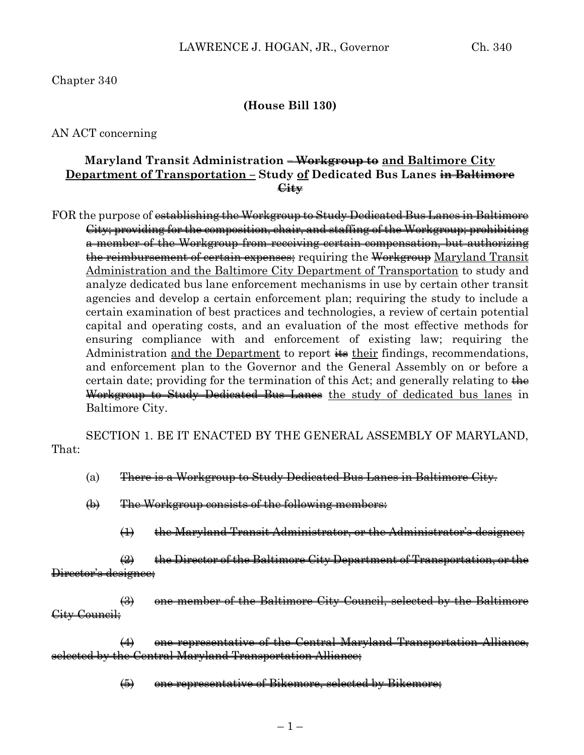Chapter 340

## **(House Bill 130)**

AN ACT concerning

## **Maryland Transit Administration – Workgroup to and Baltimore City Department of Transportation – Study of Dedicated Bus Lanes in Baltimore City**

FOR the purpose of establishing the Workgroup to Study Dedicated Bus Lanes in Baltimore City; providing for the composition, chair, and staffing of the Workgroup; prohibiting a member of the Workgroup from receiving certain compensation, but authorizing the reimbursement of certain expenses; requiring the Workgroup Maryland Transit Administration and the Baltimore City Department of Transportation to study and analyze dedicated bus lane enforcement mechanisms in use by certain other transit agencies and develop a certain enforcement plan; requiring the study to include a certain examination of best practices and technologies, a review of certain potential capital and operating costs, and an evaluation of the most effective methods for ensuring compliance with and enforcement of existing law; requiring the Administration and the Department to report  $\frac{1}{100}$  their findings, recommendations, and enforcement plan to the Governor and the General Assembly on or before a certain date; providing for the termination of this Act; and generally relating to  $\frac{1}{2}$ Workgroup to Study Dedicated Bus Lanes the study of dedicated bus lanes in Baltimore City.

SECTION 1. BE IT ENACTED BY THE GENERAL ASSEMBLY OF MARYLAND, That:

- (a) There is a Workgroup to Study Dedicated Bus Lanes in Baltimore City.
- (b) The Workgroup consists of the following members:
	- (1) the Maryland Transit Administrator, or the Administrator's designee;

 $\left( 2\right)$  the Director of the Baltimore City Department of Transportation, or the Director's designee;

(3) one member of the Baltimore City Council, selected by the Baltimore City Council;

(4) one representative of the Central Maryland Transportation Alliance, selected by the Central Maryland Transportation Alliance;

(5) one representative of Bikemore, selected by Bikemore;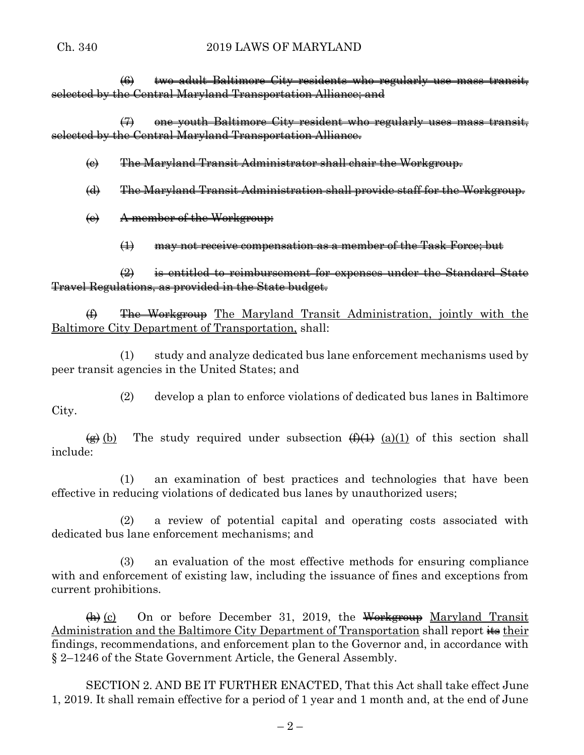## Ch. 340 2019 LAWS OF MARYLAND

(6) two adult Baltimore City residents who regularly use mass transit, selected by the Central Maryland Transportation Alliance; and

(7) one youth Baltimore City resident who regularly uses mass transit, selected by the Central Maryland Transportation Alliance.

(c) The Maryland Transit Administrator shall chair the Workgroup.

(d) The Maryland Transit Administration shall provide staff for the Workgroup.

(e) A member of the Workgroup:

(1) may not receive compensation as a member of the Task Force; but

(2) is entitled to reimbursement for expenses under the Standard State Travel Regulations, as provided in the State budget.

(f) The Workgroup The Maryland Transit Administration, jointly with the Baltimore City Department of Transportation, shall:

(1) study and analyze dedicated bus lane enforcement mechanisms used by peer transit agencies in the United States; and

(2) develop a plan to enforce violations of dedicated bus lanes in Baltimore City.

 $\overline{(g)}$  (b) The study required under subsection  $\overline{(f)}$  (a)(1) of this section shall include:

(1) an examination of best practices and technologies that have been effective in reducing violations of dedicated bus lanes by unauthorized users;

(2) a review of potential capital and operating costs associated with dedicated bus lane enforcement mechanisms; and

(3) an evaluation of the most effective methods for ensuring compliance with and enforcement of existing law, including the issuance of fines and exceptions from current prohibitions.

 $\overline{(h)}$  (c) On or before December 31, 2019, the Workgroup Maryland Transit Administration and the Baltimore City Department of Transportation shall report  $\frac{1}{100}$  their findings, recommendations, and enforcement plan to the Governor and, in accordance with § 2–1246 of the State Government Article, the General Assembly.

SECTION 2. AND BE IT FURTHER ENACTED, That this Act shall take effect June 1, 2019. It shall remain effective for a period of 1 year and 1 month and, at the end of June